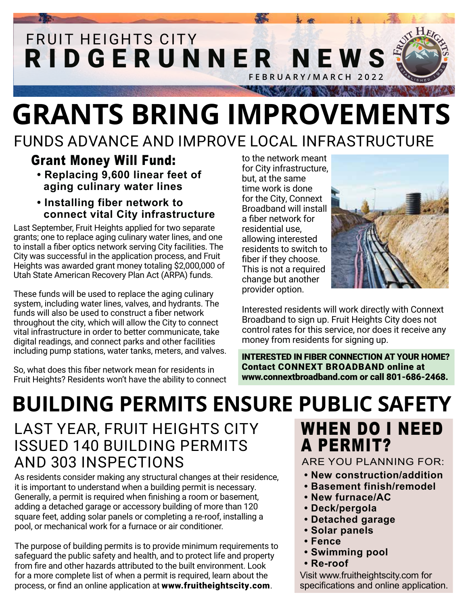#### $\epsilon$   $\mathrm{H}_E$ FRUIT HEIGHTS CITY RIDGERUNNER NEWS FEBRUARY/MARCH

# **GRANTS BRING IMPROVEMENTS**

### FUNDS ADVANCE AND IMPROVE LOCAL INFRASTRUCTURE

### Grant Money Will Fund:

- **Replacing 9,600 linear feet of aging culinary water lines**
- **Installing fiber network to connect vital City infrastructure**

Last September, Fruit Heights applied for two separate grants; one to replace aging culinary water lines, and one to install a fiber optics network serving City facilities. The City was successful in the application process, and Fruit Heights was awarded grant money totaling \$2,000,000 of Utah State American Recovery Plan Act (ARPA) funds.

These funds will be used to replace the aging culinary system, including water lines, valves, and hydrants. The funds will also be used to construct a fiber network throughout the city, which will allow the City to connect vital infrastructure in order to better communicate, take digital readings, and connect parks and other facilities including pump stations, water tanks, meters, and valves.

So, what does this fiber network mean for residents in Fruit Heights? Residents won't have the ability to connect to the network meant for City infrastructure, but, at the same time work is done for the City, Connext Broadband will install a fiber network for residential use, allowing interested residents to switch to fiber if they choose. This is not a required change but another provider option.



Interested residents will work directly with Connext Broadband to sign up. Fruit Heights City does not control rates for this service, nor does it receive any money from residents for signing up.

INTERESTED IN FIBER CONNECTION AT YOUR HOME? Contact CONNEXT BROADBAND online at www.connextbroadband.com or call 801-686-2468.

# **BUILDING PERMITS ENSURE PUBLIC SAFETY**

### LAST YEAR, FRUIT HEIGHTS CITY ISSUED 140 BUILDING PERMITS AND 303 INSPECTIONS

As residents consider making any structural changes at their residence, it is important to understand when a building permit is necessary. Generally, a permit is required when finishing a room or basement, adding a detached garage or accessory building of more than 120 square feet, adding solar panels or completing a re-roof, installing a pool, or mechanical work for a furnace or air conditioner.

The purpose of building permits is to provide minimum requirements to safeguard the public safety and health, and to protect life and property from fire and other hazards attributed to the built environment. Look for a more complete list of when a permit is required, learn about the process, or find an online application at www.fruitheightscity.com.

## WHEN DO I NEED A PERMIT?

ARE YOU PLANNING FOR:

- **New construction/addition**
- **Basement finish/remodel**
- **New furnace/AC**
- **Deck/pergola**
- **Detached garage**
- **Solar panels**
- **Fence**
- **Swimming pool**
- **Re-roof**

Visit www.fruitheightscity.com for specifications and online application.